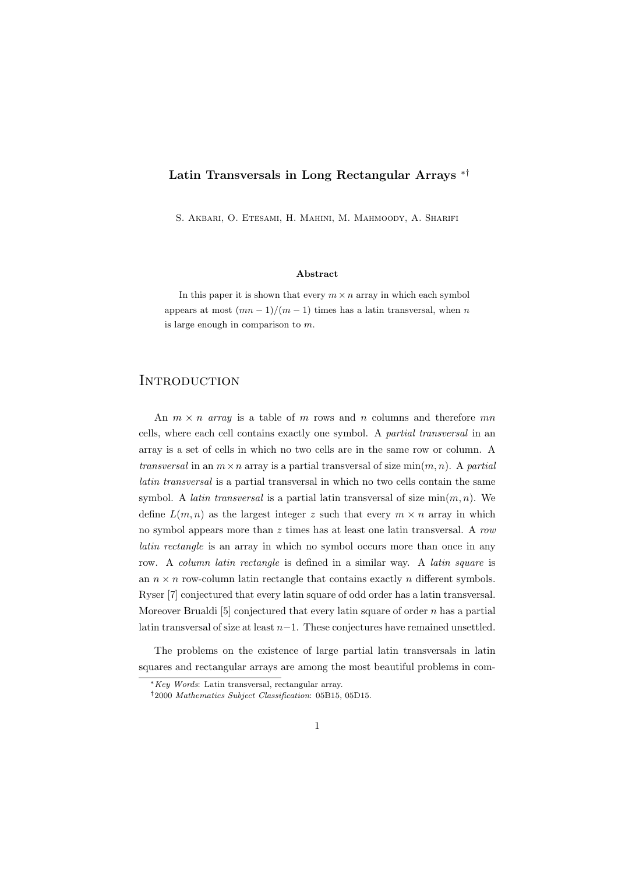## Latin Transversals in Long Rectangular Arrays ∗†

S. Akbari, O. Etesami, H. Mahini, M. Mahmoody, A. Sharifi

#### Abstract

In this paper it is shown that every  $m \times n$  array in which each symbol appears at most  $(mn-1)/(m-1)$  times has a latin transversal, when n is large enough in comparison to  $m$ .

# **INTRODUCTION**

An  $m \times n$  array is a table of m rows and n columns and therefore mn cells, where each cell contains exactly one symbol. A partial transversal in an array is a set of cells in which no two cells are in the same row or column. A transversal in an  $m \times n$  array is a partial transversal of size  $\min(m, n)$ . A partial latin transversal is a partial transversal in which no two cells contain the same symbol. A *latin transversal* is a partial latin transversal of size  $\min(m, n)$ . We define  $L(m, n)$  as the largest integer z such that every  $m \times n$  array in which no symbol appears more than  $z$  times has at least one latin transversal. A row latin rectangle is an array in which no symbol occurs more than once in any row. A column latin rectangle is defined in a similar way. A latin square is an  $n \times n$  row-column latin rectangle that contains exactly n different symbols. Ryser [7] conjectured that every latin square of odd order has a latin transversal. Moreover Brualdi [5] conjectured that every latin square of order  $n$  has a partial latin transversal of size at least  $n-1$ . These conjectures have remained unsettled.

The problems on the existence of large partial latin transversals in latin squares and rectangular arrays are among the most beautiful problems in com-

<sup>∗</sup>Key Words: Latin transversal, rectangular array.

<sup>†</sup>2000 Mathematics Subject Classification: 05B15, 05D15.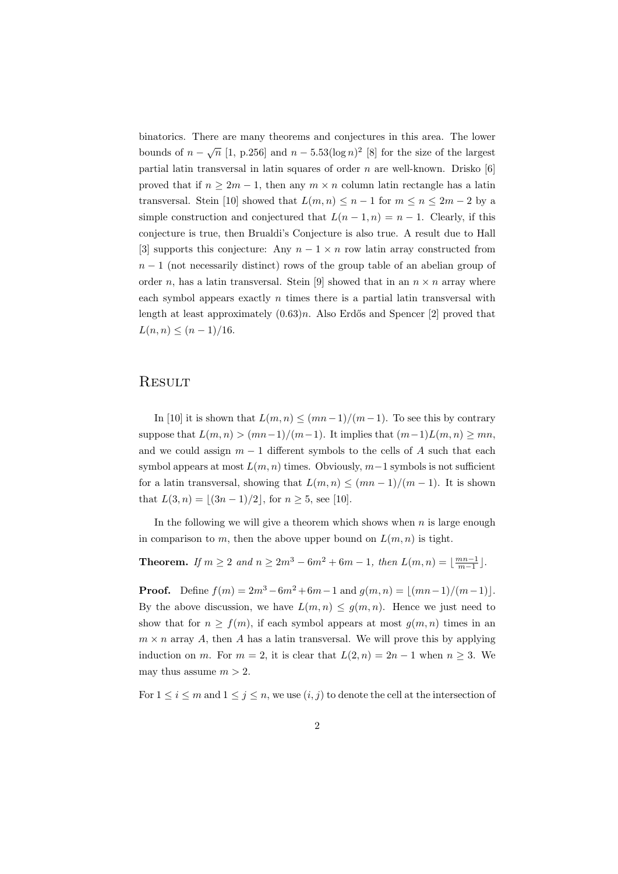binatorics. There are many theorems and conjectures in this area. The lower bounds of  $n - \sqrt{n}$  [1, p.256] and  $n - 5.53(\log n)^2$  [8] for the size of the largest partial latin transversal in latin squares of order  $n$  are well-known. Drisko [6] proved that if  $n \geq 2m - 1$ , then any  $m \times n$  column latin rectangle has a latin transversal. Stein [10] showed that  $L(m, n) \leq n - 1$  for  $m \leq n \leq 2m - 2$  by a simple construction and conjectured that  $L(n-1,n) = n-1$ . Clearly, if this conjecture is true, then Brualdi's Conjecture is also true. A result due to Hall [3] supports this conjecture: Any  $n-1 \times n$  row latin array constructed from  $n-1$  (not necessarily distinct) rows of the group table of an abelian group of order n, has a latin transversal. Stein [9] showed that in an  $n \times n$  array where each symbol appears exactly  $n$  times there is a partial latin transversal with length at least approximately  $(0.63)n$ . Also Erdős and Spencer [2] proved that  $L(n, n) \le (n - 1)/16$ .

## **RESULT**

In [10] it is shown that  $L(m, n) \leq (mn-1)/(m-1)$ . To see this by contrary suppose that  $L(m, n) > (mn-1)/(m-1)$ . It implies that  $(m-1)L(m, n) \geq mn$ , and we could assign  $m-1$  different symbols to the cells of A such that each symbol appears at most  $L(m, n)$  times. Obviously,  $m-1$  symbols is not sufficient for a latin transversal, showing that  $L(m, n) \leq (mn - 1)/(m - 1)$ . It is shown that  $L(3, n) = |(3n - 1)/2|$ , for  $n \ge 5$ , see [10].

In the following we will give a theorem which shows when  $n$  is large enough in comparison to m, then the above upper bound on  $L(m, n)$  is tight.

**Theorem.** If  $m \ge 2$  and  $n \ge 2m^3 - 6m^2 + 6m - 1$ , then  $L(m, n) = \lfloor \frac{mn-1}{m-1} \rfloor$ .

**Proof.** Define  $f(m) = 2m^3 - 6m^2 + 6m - 1$  and  $g(m, n) = |(mn-1)/(m-1)|$ . By the above discussion, we have  $L(m, n) \leq g(m, n)$ . Hence we just need to show that for  $n \ge f(m)$ , if each symbol appears at most  $g(m, n)$  times in an  $m \times n$  array A, then A has a latin transversal. We will prove this by applying induction on m. For  $m = 2$ , it is clear that  $L(2, n) = 2n - 1$  when  $n > 3$ . We may thus assume  $m > 2$ .

For  $1 \leq i \leq m$  and  $1 \leq j \leq n$ , we use  $(i, j)$  to denote the cell at the intersection of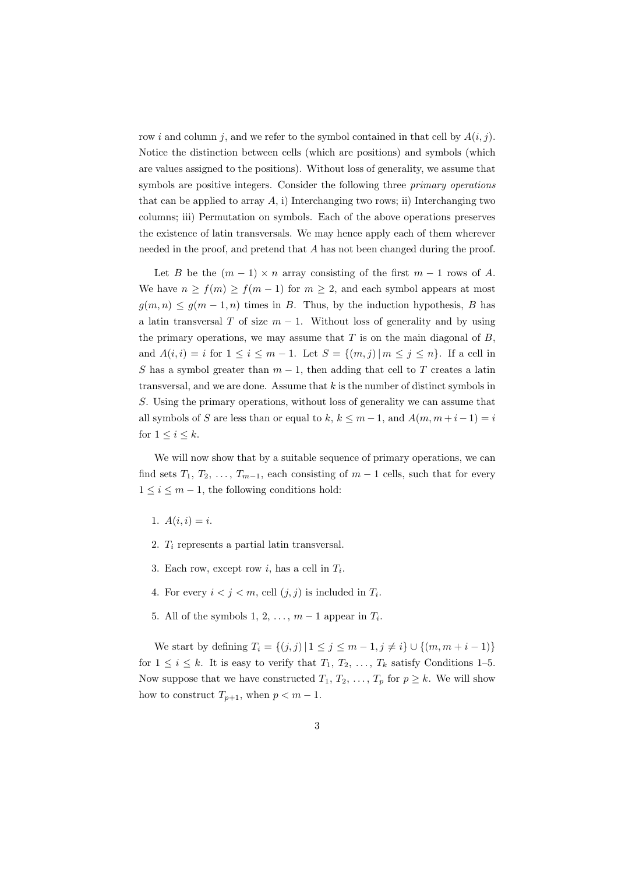row i and column j, and we refer to the symbol contained in that cell by  $A(i, j)$ . Notice the distinction between cells (which are positions) and symbols (which are values assigned to the positions). Without loss of generality, we assume that symbols are positive integers. Consider the following three *primary operations* that can be applied to array  $A$ , i) Interchanging two rows; ii) Interchanging two columns; iii) Permutation on symbols. Each of the above operations preserves the existence of latin transversals. We may hence apply each of them wherever needed in the proof, and pretend that A has not been changed during the proof.

Let B be the  $(m-1) \times n$  array consisting of the first  $m-1$  rows of A. We have  $n \ge f(m) \ge f(m-1)$  for  $m \ge 2$ , and each symbol appears at most  $g(m, n) \leq g(m-1, n)$  times in B. Thus, by the induction hypothesis, B has a latin transversal T of size  $m - 1$ . Without loss of generality and by using the primary operations, we may assume that  $T$  is on the main diagonal of  $B$ , and  $A(i, i) = i$  for  $1 \le i \le m - 1$ . Let  $S = \{(m, j) | m \le j \le n\}$ . If a cell in S has a symbol greater than  $m-1$ , then adding that cell to T creates a latin transversal, and we are done. Assume that  $k$  is the number of distinct symbols in S. Using the primary operations, without loss of generality we can assume that all symbols of S are less than or equal to k,  $k \leq m-1$ , and  $A(m, m+i-1) = i$ for  $1 \leq i \leq k$ .

We will now show that by a suitable sequence of primary operations, we can find sets  $T_1, T_2, \ldots, T_{m-1}$ , each consisting of  $m-1$  cells, such that for every  $1 \leq i \leq m-1$ , the following conditions hold:

- 1.  $A(i, i) = i$ .
- 2.  $T_i$  represents a partial latin transversal.
- 3. Each row, except row *i*, has a cell in  $T_i$ .
- 4. For every  $i < j < m$ , cell  $(j, j)$  is included in  $T_i$ .
- 5. All of the symbols  $1, 2, \ldots, m-1$  appear in  $T_i$ .

We start by defining  $T_i = \{(j, j) | 1 \leq j \leq m - 1, j \neq i\} \cup \{(m, m + i - 1)\}\$ for  $1 \leq i \leq k$ . It is easy to verify that  $T_1, T_2, \ldots, T_k$  satisfy Conditions 1-5. Now suppose that we have constructed  $T_1, T_2, \ldots, T_p$  for  $p \geq k$ . We will show how to construct  $T_{p+1}$ , when  $p < m-1$ .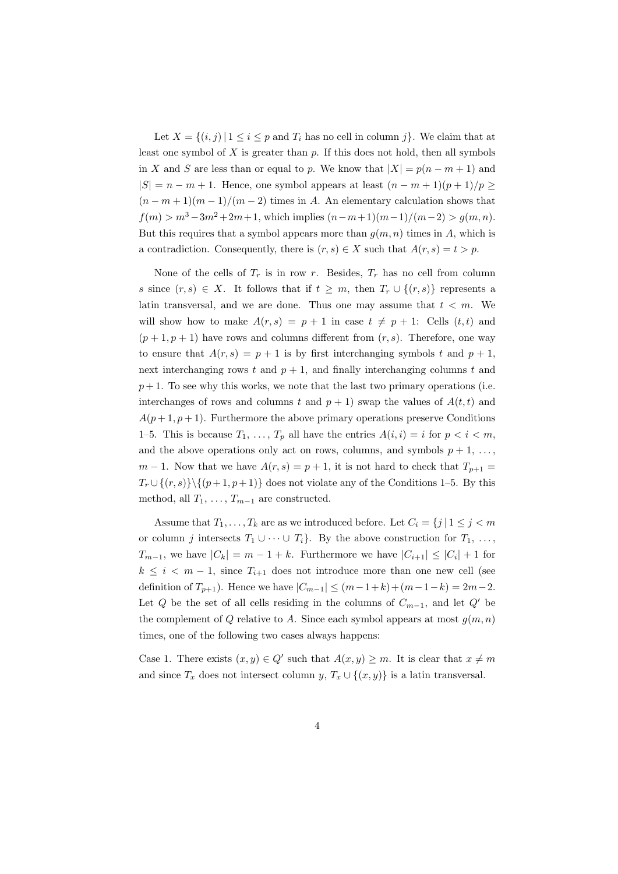Let  $X = \{(i, j) | 1 \le i \le p \text{ and } T_i \text{ has no cell in column } j\}.$  We claim that at least one symbol of  $X$  is greater than  $p$ . If this does not hold, then all symbols in X and S are less than or equal to p. We know that  $|X| = p(n - m + 1)$  and  $|S| = n - m + 1$ . Hence, one symbol appears at least  $(n - m + 1)(p + 1)/p \ge$  $(n-m+1)(m-1)/(m-2)$  times in A. An elementary calculation shows that  $f(m) > m^3 - 3m^2 + 2m + 1$ , which implies  $(n - m + 1)(m - 1)/(m - 2) > g(m, n)$ . But this requires that a symbol appears more than  $g(m, n)$  times in A, which is a contradiction. Consequently, there is  $(r, s) \in X$  such that  $A(r, s) = t > p$ .

None of the cells of  $T_r$  is in row r. Besides,  $T_r$  has no cell from column s since  $(r, s) \in X$ . It follows that if  $t \geq m$ , then  $T_r \cup \{(r, s)\}\)$  represents a latin transversal, and we are done. Thus one may assume that  $t < m$ . We will show how to make  $A(r, s) = p + 1$  in case  $t \neq p + 1$ : Cells  $(t, t)$  and  $(p+1, p+1)$  have rows and columns different from  $(r, s)$ . Therefore, one way to ensure that  $A(r, s) = p + 1$  is by first interchanging symbols t and  $p + 1$ , next interchanging rows t and  $p + 1$ , and finally interchanging columns t and  $p+1$ . To see why this works, we note that the last two primary operations (i.e. interchanges of rows and columns t and  $p + 1$ ) swap the values of  $A(t, t)$  and  $A(p+1, p+1)$ . Furthermore the above primary operations preserve Conditions 1–5. This is because  $T_1, \ldots, T_p$  all have the entries  $A(i, i) = i$  for  $p < i < m$ , and the above operations only act on rows, columns, and symbols  $p + 1, \ldots$ ,  $m-1$ . Now that we have  $A(r, s) = p+1$ , it is not hard to check that  $T_{p+1} =$  $T_r \cup \{(r, s)\}\setminus \{(p+1, p+1)\}\$ does not violate any of the Conditions 1–5. By this method, all  $T_1, \ldots, T_{m-1}$  are constructed.

Assume that  $T_1, \ldots, T_k$  are as we introduced before. Let  $C_i = \{j | 1 \leq j \leq m\}$ or column j intersects  $T_1 \cup \cdots \cup T_i$ . By the above construction for  $T_1, \ldots,$  $T_{m-1}$ , we have  $|C_k| = m - 1 + k$ . Furthermore we have  $|C_{i+1}| \leq |C_i| + 1$  for  $k \leq i \leq m-1$ , since  $T_{i+1}$  does not introduce more than one new cell (see definition of  $T_{p+1}$ ). Hence we have  $|C_{m-1}| \leq (m-1+k)+(m-1-k) = 2m-2$ . Let Q be the set of all cells residing in the columns of  $C_{m-1}$ , and let Q' be the complement of Q relative to A. Since each symbol appears at most  $g(m, n)$ times, one of the following two cases always happens:

Case 1. There exists  $(x, y) \in Q'$  such that  $A(x, y) \geq m$ . It is clear that  $x \neq m$ and since  $T_x$  does not intersect column y,  $T_x \cup \{(x, y)\}\$ is a latin transversal.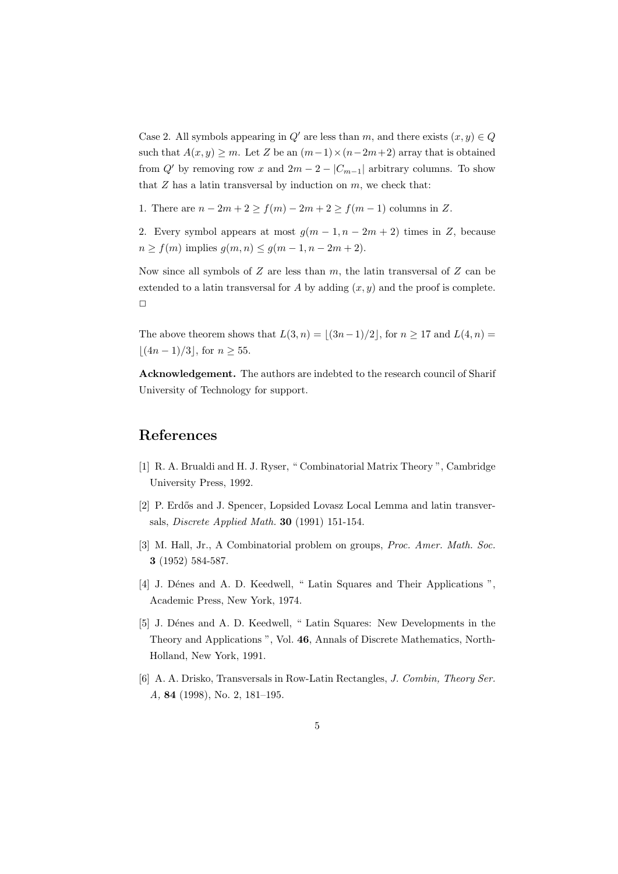Case 2. All symbols appearing in  $Q'$  are less than m, and there exists  $(x, y) \in Q$ such that  $A(x, y) \ge m$ . Let Z be an  $(m-1) \times (n-2m+2)$  array that is obtained from Q' by removing row x and  $2m - 2 - |C_{m-1}|$  arbitrary columns. To show that  $Z$  has a latin transversal by induction on  $m$ , we check that:

1. There are  $n - 2m + 2 \ge f(m) - 2m + 2 \ge f(m - 1)$  columns in Z.

2. Every symbol appears at most  $g(m-1, n-2m+2)$  times in Z, because  $n \ge f(m)$  implies  $g(m, n) \le g(m - 1, n - 2m + 2)$ .

Now since all symbols of  $Z$  are less than  $m$ , the latin transversal of  $Z$  can be extended to a latin transversal for A by adding  $(x, y)$  and the proof is complete.  $\Box$ 

The above theorem shows that  $L(3, n) = |(3n-1)/2|$ , for  $n \ge 17$  and  $L(4, n) =$  $\lfloor (4n - 1)/3 \rfloor$ , for  $n \ge 55$ .

Acknowledgement. The authors are indebted to the research council of Sharif University of Technology for support.

## References

- [1] R. A. Brualdi and H. J. Ryser, " Combinatorial Matrix Theory ", Cambridge University Press, 1992.
- [2] P. Erdős and J. Spencer, Lopsided Lovasz Local Lemma and latin transversals, Discrete Applied Math. 30 (1991) 151-154.
- [3] M. Hall, Jr., A Combinatorial problem on groups, Proc. Amer. Math. Soc. 3 (1952) 584-587.
- [4] J. Dénes and A. D. Keedwell, " Latin Squares and Their Applications ", Academic Press, New York, 1974.
- [5] J. Dénes and A. D. Keedwell, " Latin Squares: New Developments in the Theory and Applications ", Vol. 46, Annals of Discrete Mathematics, North-Holland, New York, 1991.
- [6] A. A. Drisko, Transversals in Row-Latin Rectangles, J. Combin, Theory Ser. A, 84 (1998), No. 2, 181–195.